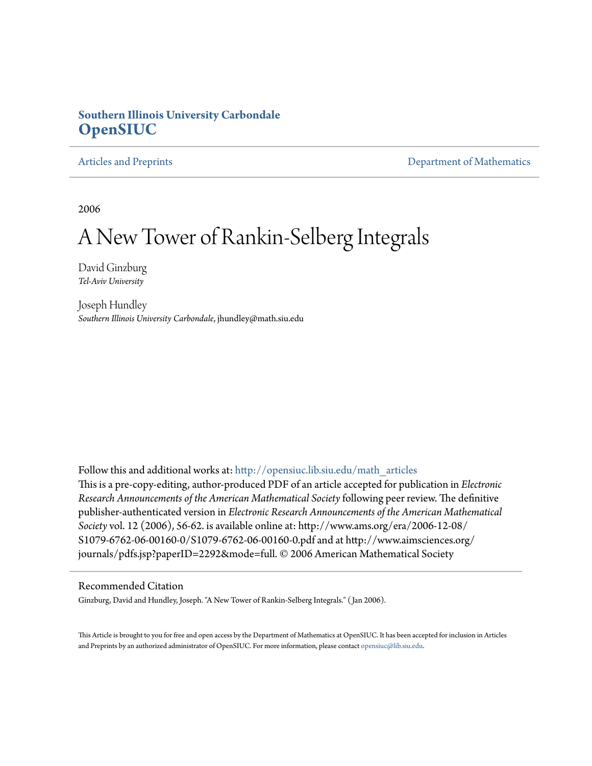### **Southern Illinois University Carbondale [OpenSIUC](http://opensiuc.lib.siu.edu?utm_source=opensiuc.lib.siu.edu%2Fmath_articles%2F95&utm_medium=PDF&utm_campaign=PDFCoverPages)**

[Articles and Preprints](http://opensiuc.lib.siu.edu/math_articles?utm_source=opensiuc.lib.siu.edu%2Fmath_articles%2F95&utm_medium=PDF&utm_campaign=PDFCoverPages) **[Department of Mathematics](http://opensiuc.lib.siu.edu/math?utm_source=opensiuc.lib.siu.edu%2Fmath_articles%2F95&utm_medium=PDF&utm_campaign=PDFCoverPages)** Department of Mathematics

2006

# A New Tower of Rankin-Selberg Integrals

David Ginzburg *Tel-Aviv University*

Joseph Hundley *Southern Illinois University Carbondale*, jhundley@math.siu.edu

Follow this and additional works at: [http://opensiuc.lib.siu.edu/math\\_articles](http://opensiuc.lib.siu.edu/math_articles?utm_source=opensiuc.lib.siu.edu%2Fmath_articles%2F95&utm_medium=PDF&utm_campaign=PDFCoverPages) This is a pre-copy-editing, author-produced PDF of an article accepted for publication in *Electronic Research Announcements of the American Mathematical Society*following peer review. The definitive publisher-authenticated version in *Electronic Research Announcements of the American Mathematical Society* vol. 12 (2006), 56-62. is available online at: http://www.ams.org/era/2006-12-08/ S1079-6762-06-00160-0/S1079-6762-06-00160-0.pdf and at http://www.aimsciences.org/ journals/pdfs.jsp?paperID=2292&mode=full. © 2006 American Mathematical Society

#### Recommended Citation

Ginzburg, David and Hundley, Joseph. "A New Tower of Rankin-Selberg Integrals." ( Jan 2006).

This Article is brought to you for free and open access by the Department of Mathematics at OpenSIUC. It has been accepted for inclusion in Articles and Preprints by an authorized administrator of OpenSIUC. For more information, please contact [opensiuc@lib.siu.edu](mailto:opensiuc@lib.siu.edu).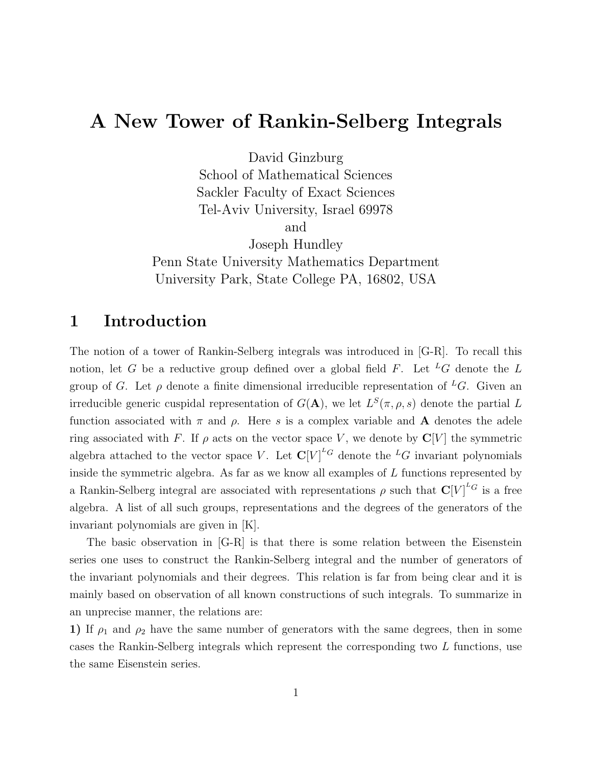# A New Tower of Rankin-Selberg Integrals

David Ginzburg

School of Mathematical Sciences Sackler Faculty of Exact Sciences Tel-Aviv University, Israel 69978

and

Joseph Hundley

Penn State University Mathematics Department University Park, State College PA, 16802, USA

# 1 Introduction

The notion of a tower of Rankin-Selberg integrals was introduced in [G-R]. To recall this notion, let G be a reductive group defined over a global field F. Let <sup>L</sup>G denote the L group of G. Let  $\rho$  denote a finite dimensional irreducible representation of <sup>L</sup>G. Given an irreducible generic cuspidal representation of  $G(\mathbf{A})$ , we let  $L^S(\pi, \rho, s)$  denote the partial L function associated with  $\pi$  and  $\rho$ . Here s is a complex variable and **A** denotes the adele ring associated with F. If  $\rho$  acts on the vector space V, we denote by  $\mathbb{C}[V]$  the symmetric algebra attached to the vector space V. Let  $\mathbb{C}[V]^{\text{L}_G}$  denote the  $^L G$  invariant polynomials inside the symmetric algebra. As far as we know all examples of L functions represented by a Rankin-Selberg integral are associated with representations  $\rho$  such that  $\mathbf{C}[V]^{\text{L}G}$  is a free algebra. A list of all such groups, representations and the degrees of the generators of the invariant polynomials are given in [K].

The basic observation in [G-R] is that there is some relation between the Eisenstein series one uses to construct the Rankin-Selberg integral and the number of generators of the invariant polynomials and their degrees. This relation is far from being clear and it is mainly based on observation of all known constructions of such integrals. To summarize in an unprecise manner, the relations are:

1) If  $\rho_1$  and  $\rho_2$  have the same number of generators with the same degrees, then in some cases the Rankin-Selberg integrals which represent the corresponding two L functions, use the same Eisenstein series.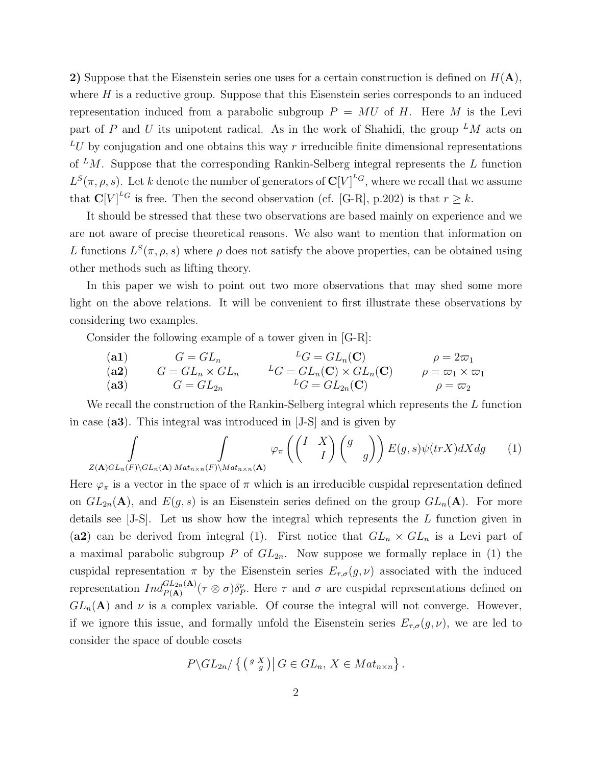2) Suppose that the Eisenstein series one uses for a certain construction is defined on  $H(A)$ , where  $H$  is a reductive group. Suppose that this Eisenstein series corresponds to an induced representation induced from a parabolic subgroup  $P = MU$  of H. Here M is the Levi part of P and U its unipotent radical. As in the work of Shahidi, the group  $^L M$  acts on  $^L U$  by conjugation and one obtains this way r irreducible finite dimensional representations of  $^L M$ . Suppose that the corresponding Rankin-Selberg integral represents the L function  $L^{S}(\pi, \rho, s)$ . Let k denote the number of generators of  $\mathbf{C}[V]^{L}$ , where we recall that we assume that  $\mathbf{C}[V]^{\text{LG}}$  is free. Then the second observation (cf. [G-R], p.202) is that  $r \geq k$ .

It should be stressed that these two observations are based mainly on experience and we are not aware of precise theoretical reasons. We also want to mention that information on L functions  $L^S(\pi, \rho, s)$  where  $\rho$  does not satisfy the above properties, can be obtained using other methods such as lifting theory.

In this paper we wish to point out two more observations that may shed some more light on the above relations. It will be convenient to first illustrate these observations by considering two examples.

Consider the following example of a tower given in [G-R]:

(a1) 
$$
G = GL_n
$$

$$
G = GL_n \times GL_n
$$

$$
L_G = GL_n(C) \times GL_n(C)
$$

$$
G = \omega_1 \times \omega_1
$$

$$
G = GL_{2n}
$$

$$
L_G = GL_{2n}(C) \times GL_n(C)
$$

$$
\rho = \omega_1 \times \omega_1
$$

$$
L_G = GL_{2n}(C)
$$

$$
\rho = \omega_2
$$

We recall the construction of the Rankin-Selberg integral which represents the  $L$  function in case (a3). This integral was introduced in [J-S] and is given by

$$
\int_{Z(\mathbf{A})GL_n(F)\backslash GL_n(\mathbf{A})}\int_{Mat_{n\times n}(F)\backslash Mat_{n\times n}(\mathbf{A})}\varphi_{\pi}\left(\begin{pmatrix}I&X\\&I\end{pmatrix}\begin{pmatrix}g&\\&g\end{pmatrix}\right)E(g,s)\psi(trX)dXdg\qquad(1)
$$

Here  $\varphi_{\pi}$  is a vector in the space of  $\pi$  which is an irreducible cuspidal representation defined on  $GL_{2n}(\mathbf{A})$ , and  $E(g, s)$  is an Eisenstein series defined on the group  $GL_n(\mathbf{A})$ . For more details see [J-S]. Let us show how the integral which represents the L function given in (a2) can be derived from integral (1). First notice that  $GL_n \times GL_n$  is a Levi part of a maximal parabolic subgroup P of  $GL_{2n}$ . Now suppose we formally replace in (1) the cuspidal representation  $\pi$  by the Eisenstein series  $E_{\tau,\sigma}(g,\nu)$  associated with the induced representation  $Ind_{P(A)}^{GL_{2n}(A)}(\tau \otimes \sigma)\delta_P^{\nu}$ . Here  $\tau$  and  $\sigma$  are cuspidal representations defined on  $GL_n(\mathbf{A})$  and  $\nu$  is a complex variable. Of course the integral will not converge. However, if we ignore this issue, and formally unfold the Eisenstein series  $E_{\tau,\sigma}(g,\nu)$ , we are led to consider the space of double cosets

$$
P\backslash GL_{2n}/\left\{ \left(\begin{array}{c}g&X\\g&\end{array}\right)\right|G\in GL_n, X\in Mat_{n\times n}\right\}.
$$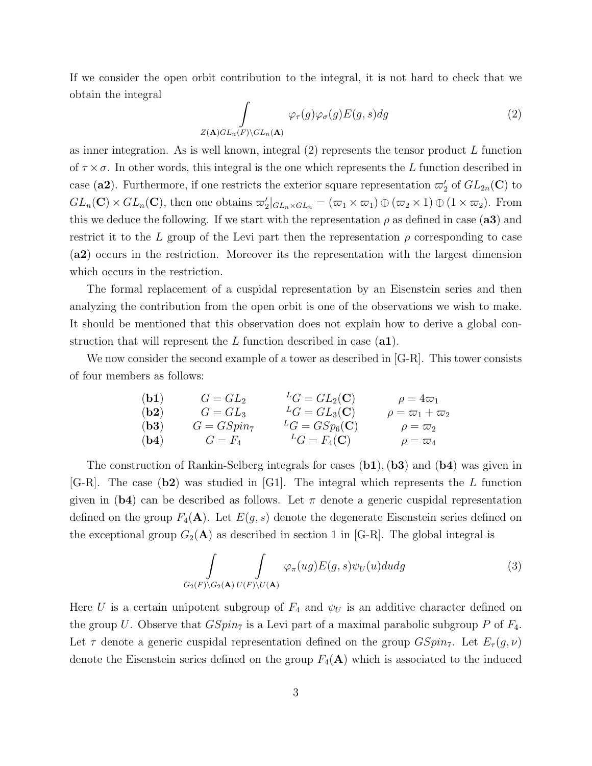If we consider the open orbit contribution to the integral, it is not hard to check that we obtain the integral

$$
\int_{Z(\mathbf{A})GL_n(F)\backslash GL_n(\mathbf{A})} \varphi_{\tau}(g)\varphi_{\sigma}(g)E(g,s)dg
$$
\n(2)

as inner integration. As is well known, integral  $(2)$  represents the tensor product L function of  $\tau \times \sigma$ . In other words, this integral is the one which represents the L function described in case (a2). Furthermore, if one restricts the exterior square representation  $\varpi'_2$  of  $GL_{2n}(\mathbb{C})$  to  $GL_n(\mathbf{C}) \times GL_n(\mathbf{C})$ , then one obtains  $\varpi_2' |_{GL_n \times GL_n} = (\varpi_1 \times \varpi_1) \oplus (\varpi_2 \times 1) \oplus (1 \times \varpi_2)$ . From this we deduce the following. If we start with the representation  $\rho$  as defined in case (a3) and restrict it to the L group of the Levi part then the representation  $\rho$  corresponding to case (a2) occurs in the restriction. Moreover its the representation with the largest dimension which occurs in the restriction.

The formal replacement of a cuspidal representation by an Eisenstein series and then analyzing the contribution from the open orbit is one of the observations we wish to make. It should be mentioned that this observation does not explain how to derive a global construction that will represent the  $L$  function described in case  $(a1)$ .

We now consider the second example of a tower as described in [G-R]. This tower consists of four members as follows:

| (b1) | $G = GL_2$    | ${}^L G = GL_2(\mathbf{C})$  | $\rho = 4\varpi_1$           |
|------|---------------|------------------------------|------------------------------|
| (b2) | $G = GL_3$    | ${}^L G = GL_3(\mathbf{C})$  | $\rho = \varpi_1 + \varpi_2$ |
| (b3) | $G = GSpin_7$ | ${}^L G = GSp_6(\mathbf{C})$ | $\rho = \varpi_2$            |
| (b4) | $G = F_4$     | ${}^L G = F_4(\mathbf{C})$   | $\rho = \varpi_4$            |

The construction of Rankin-Selberg integrals for cases  $(b1)$ ,  $(b3)$  and  $(b4)$  was given in  $[G-R]$ . The case  $(b2)$  was studied in  $[G1]$ . The integral which represents the L function given in (b4) can be described as follows. Let  $\pi$  denote a generic cuspidal representation defined on the group  $F_4(\mathbf{A})$ . Let  $E(g, s)$  denote the degenerate Eisenstein series defined on the exceptional group  $G_2(A)$  as described in section 1 in [G-R]. The global integral is

$$
\int_{G_2(F)\backslash G_2(\mathbf{A})} \int_{U(F)\backslash U(\mathbf{A})} \varphi_\pi(ug) E(g, s) \psi_U(u) du dg \tag{3}
$$

Here U is a certain unipotent subgroup of  $F_4$  and  $\psi_U$  is an additive character defined on the group U. Observe that  $GSpin<sub>7</sub>$  is a Levi part of a maximal parabolic subgroup P of  $F_4$ . Let  $\tau$  denote a generic cuspidal representation defined on the group  $GSpin_7$ . Let  $E_{\tau}(g,\nu)$ denote the Eisenstein series defined on the group  $F_4(\mathbf{A})$  which is associated to the induced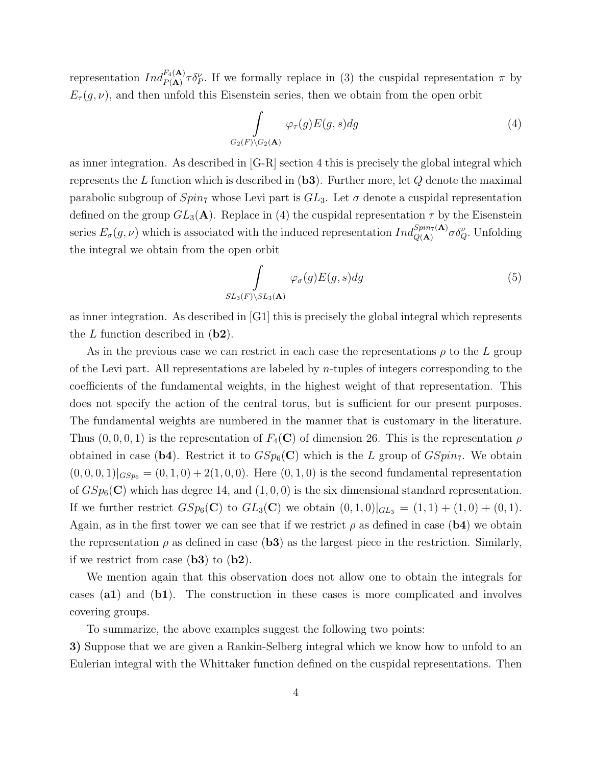representation  $Ind_{P(A)}^{F_4(A)} \tau \delta_P^{\nu}$ . If we formally replace in (3) the cuspidal representation  $\pi$  by  $E_{\tau}(g, \nu)$ , and then unfold this Eisenstein series, then we obtain from the open orbit

$$
\int_{G_2(F)\backslash G_2(\mathbf{A})} \varphi_{\tau}(g) E(g, s) dg \tag{4}
$$

as inner integration. As described in [G-R] section 4 this is precisely the global integral which represents the L function which is described in  $(b3)$ . Further more, let Q denote the maximal parabolic subgroup of  $Spin_7$  whose Levi part is  $GL_3$ . Let  $\sigma$  denote a cuspidal representation defined on the group  $GL_3(\mathbf{A})$ . Replace in (4) the cuspidal representation  $\tau$  by the Eisenstein series  $E_{\sigma}(g,\nu)$  which is associated with the induced representation  $Ind_{Q({\bf A})}^{Spin_7({\bf A})}\sigma \delta_Q^{\nu}$ . Unfolding the integral we obtain from the open orbit

$$
\int_{SL_3(F)\backslash SL_3(\mathbf{A})} \varphi_{\sigma}(g) E(g, s) dg \tag{5}
$$

as inner integration. As described in [G1] this is precisely the global integral which represents the  $L$  function described in  $(b2)$ .

As in the previous case we can restrict in each case the representations  $\rho$  to the L group of the Levi part. All representations are labeled by  $n$ -tuples of integers corresponding to the coefficients of the fundamental weights, in the highest weight of that representation. This does not specify the action of the central torus, but is sufficient for our present purposes. The fundamental weights are numbered in the manner that is customary in the literature. Thus  $(0, 0, 0, 1)$  is the representation of  $F_4(\mathbf{C})$  of dimension 26. This is the representation  $\rho$ obtained in case (b4). Restrict it to  $GSp_6(\mathbf{C})$  which is the L group of  $GSpin_7$ . We obtain  $(0, 0, 0, 1)|_{GSp_6} = (0, 1, 0) + 2(1, 0, 0)$ . Here  $(0, 1, 0)$  is the second fundamental representation of  $GSp_6(\mathbf{C})$  which has degree 14, and  $(1,0,0)$  is the six dimensional standard representation. If we further restrict  $GSp_6(\mathbf{C})$  to  $GL_3(\mathbf{C})$  we obtain  $(0,1,0)|_{GL_3} = (1,1) + (1,0) + (0,1)$ . Again, as in the first tower we can see that if we restrict  $\rho$  as defined in case (b4) we obtain the representation  $\rho$  as defined in case (b3) as the largest piece in the restriction. Similarly, if we restrict from case  $(b3)$  to  $(b2)$ .

We mention again that this observation does not allow one to obtain the integrals for cases (a1) and (b1). The construction in these cases is more complicated and involves covering groups.

To summarize, the above examples suggest the following two points:

3) Suppose that we are given a Rankin-Selberg integral which we know how to unfold to an Eulerian integral with the Whittaker function defined on the cuspidal representations. Then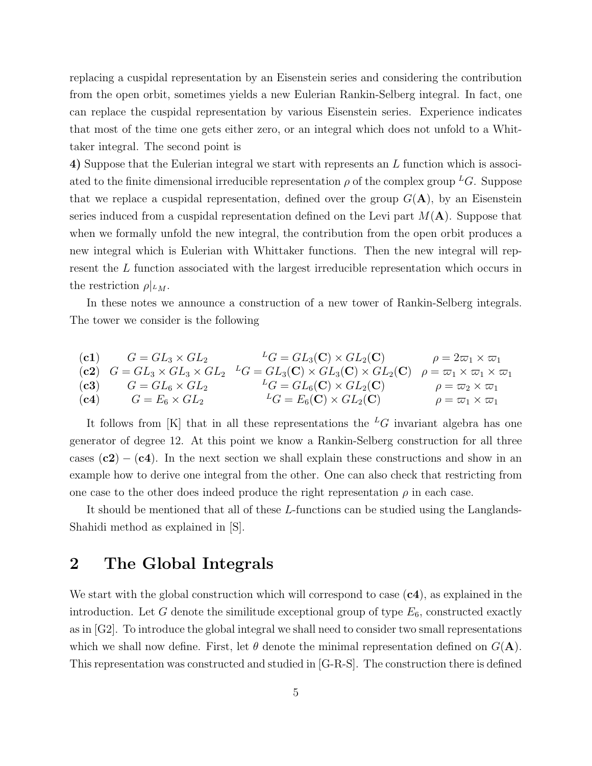replacing a cuspidal representation by an Eisenstein series and considering the contribution from the open orbit, sometimes yields a new Eulerian Rankin-Selberg integral. In fact, one can replace the cuspidal representation by various Eisenstein series. Experience indicates that most of the time one gets either zero, or an integral which does not unfold to a Whittaker integral. The second point is

4) Suppose that the Eulerian integral we start with represents an L function which is associated to the finite dimensional irreducible representation  $\rho$  of the complex group  ${}^L G$ . Suppose that we replace a cuspidal representation, defined over the group  $G(A)$ , by an Eisenstein series induced from a cuspidal representation defined on the Levi part  $M(A)$ . Suppose that when we formally unfold the new integral, the contribution from the open orbit produces a new integral which is Eulerian with Whittaker functions. Then the new integral will represent the L function associated with the largest irreducible representation which occurs in the restriction  $\rho|_{^LM}$ .

In these notes we announce a construction of a new tower of Rankin-Selberg integrals. The tower we consider is the following

(c1) 
$$
G = GL_3 \times GL_2
$$

$$
G = GL_3 \times GL_2
$$

$$
G = GL_3 \times GL_2
$$

$$
G = GL_3 \times GL_2
$$

$$
G = GL_3 \times GL_2
$$

$$
G = GL_3 \times GL_2
$$

$$
G = GL_3 \times GL_2
$$

$$
G = GL_3 \times GL_2
$$

$$
G = GL_3 \times GL_2
$$

$$
G = GL_3 \times GL_2
$$

$$
G = GL_3 \times GL_2
$$

$$
G = GL_3 \times GL_2
$$

$$
G = GL_3 \times GL_2
$$

$$
G = GL_3 \times GL_2
$$

$$
G = GL_3 \times GL_2
$$

$$
G = GL_3 \times GL_2
$$

$$
G = GL_3 \times GL_2
$$

$$
G = GL_3 \times GL_2
$$

$$
G = GL_3 \times GL_2
$$

$$
G = GL_3 \times GL_2
$$

$$
G = GL_3 \times GL_2
$$

$$
G = GL_3 \times GL_2
$$

$$
G = GL_3 \times GL_2
$$

$$
G = GL_3 \times GL_2
$$

$$
G = GL_3 \times GL_2
$$

$$
G = GL_3 \times GL_2
$$

$$
G = GL_3 \times GL_2
$$

$$
G = GL_3 \times GL_2
$$

$$
G = GL_3 \times GL_2
$$

$$
G = GL_3 \times GL_2
$$

$$
G = GL_3 \times GL_2
$$

$$
G = GL_3 \times GL_2
$$

$$
G = GL_3 \times GL_2
$$

$$
G = GL_3 \times GL_2
$$

$$
G = GL_3 \times GL_2
$$

$$
G = GL_3 \times GL_2
$$

$$
G = GL_3 \times GL_2
$$

$$
G = GL_3 \times GL_2
$$

$$
G = GL_3 \times GL_2
$$

$$
G = GL_3 \times GL_2
$$

$$
G = GL_3 \times GL_2
$$

$$
G = GL_3 \times GL_2
$$

$$

$$

It follows from [K] that in all these representations the <sup>L</sup>G invariant algebra has one generator of degree 12. At this point we know a Rankin-Selberg construction for all three cases  $(c2) - (c4)$ . In the next section we shall explain these constructions and show in an example how to derive one integral from the other. One can also check that restricting from one case to the other does indeed produce the right representation  $\rho$  in each case.

It should be mentioned that all of these L-functions can be studied using the Langlands-Shahidi method as explained in [S].

## 2 The Global Integrals

We start with the global construction which will correspond to case  $(c4)$ , as explained in the introduction. Let G denote the similitude exceptional group of type  $E_6$ , constructed exactly as in [G2]. To introduce the global integral we shall need to consider two small representations which we shall now define. First, let  $\theta$  denote the minimal representation defined on  $G(A)$ . This representation was constructed and studied in [G-R-S]. The construction there is defined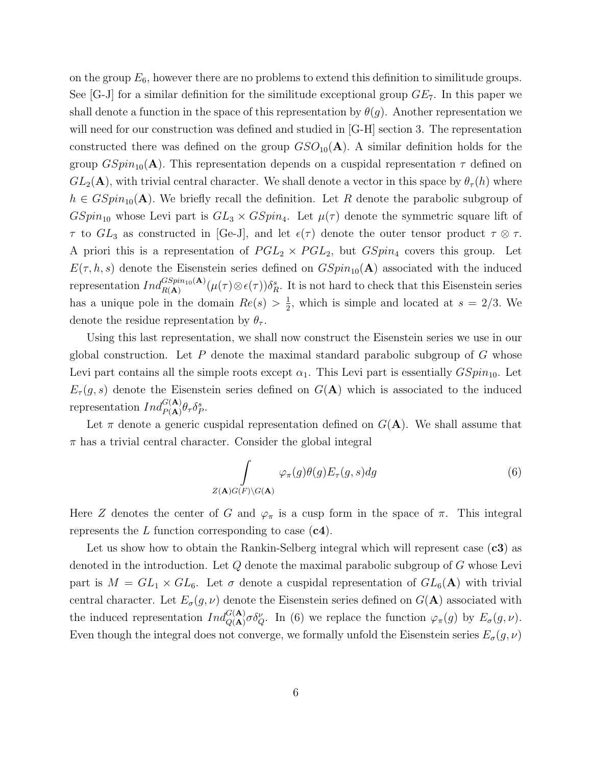on the group  $E_6$ , however there are no problems to extend this definition to similitude groups. See [G-J] for a similar definition for the similitude exceptional group  $GE_7$ . In this paper we shall denote a function in the space of this representation by  $\theta(q)$ . Another representation we will need for our construction was defined and studied in  $[G-H]$  section 3. The representation constructed there was defined on the group  $GSO_{10}(\bf A)$ . A similar definition holds for the group  $GSpin_{10}(\mathbf{A})$ . This representation depends on a cuspidal representation  $\tau$  defined on  $GL_2(\mathbf{A})$ , with trivial central character. We shall denote a vector in this space by  $\theta_\tau(h)$  where  $h \in GSpin_{10}(\mathbf{A})$ . We briefly recall the definition. Let R denote the parabolic subgroup of  $GSpin_{10}$  whose Levi part is  $GL_3 \times GSpin_4$ . Let  $\mu(\tau)$  denote the symmetric square lift of  $\tau$  to  $GL_3$  as constructed in [Ge-J], and let  $\epsilon(\tau)$  denote the outer tensor product  $\tau \otimes \tau$ . A priori this is a representation of  $PGL_2 \times PGL_2$ , but  $GSpin_4$  covers this group. Let  $E(\tau, h, s)$  denote the Eisenstein series defined on  $GSpin_{10}(\mathbf{A})$  associated with the induced representation  $Ind_{R({\bf A})}^{GSpin_{10}({\bf A})}(\mu(\tau)\otimes\epsilon(\tau))\delta_R^s$ . It is not hard to check that this Eisenstein series has a unique pole in the domain  $Re(s) > \frac{1}{2}$  $\frac{1}{2}$ , which is simple and located at  $s = 2/3$ . We denote the residue representation by  $\theta_{\tau}$ .

Using this last representation, we shall now construct the Eisenstein series we use in our global construction. Let  $P$  denote the maximal standard parabolic subgroup of  $G$  whose Levi part contains all the simple roots except  $\alpha_1$ . This Levi part is essentially  $GSpin_{10}$ . Let  $E_{\tau}(g, s)$  denote the Eisenstein series defined on  $G(A)$  which is associated to the induced representation  $Ind_{P(\mathbf{A})}^{G(\mathbf{A})}\theta_{\tau}\delta_{P}^{s}$ .

Let  $\pi$  denote a generic cuspidal representation defined on  $G(\mathbf{A})$ . We shall assume that  $\pi$  has a trivial central character. Consider the global integral

$$
\int_{Z(\mathbf{A})G(F)\backslash G(\mathbf{A})} \varphi_{\pi}(g)\theta(g) E_{\tau}(g, s) dg
$$
\n(6)

Here Z denotes the center of G and  $\varphi_{\pi}$  is a cusp form in the space of  $\pi$ . This integral represents the  $L$  function corresponding to case  $(c4)$ .

Let us show how to obtain the Rankin-Selberg integral which will represent case  $(c3)$  as denoted in the introduction. Let  $Q$  denote the maximal parabolic subgroup of  $G$  whose Levi part is  $M = GL_1 \times GL_6$ . Let  $\sigma$  denote a cuspidal representation of  $GL_6(A)$  with trivial central character. Let  $E_{\sigma}(g, \nu)$  denote the Eisenstein series defined on  $G(\mathbf{A})$  associated with the induced representation  $Ind_{Q(\mathbf{A})}^{G(\mathbf{A})}\sigma\delta_{Q}^{\nu}$ . In (6) we replace the function  $\varphi_{\pi}(g)$  by  $E_{\sigma}(g,\nu)$ . Even though the integral does not converge, we formally unfold the Eisenstein series  $E_{\sigma}(g, \nu)$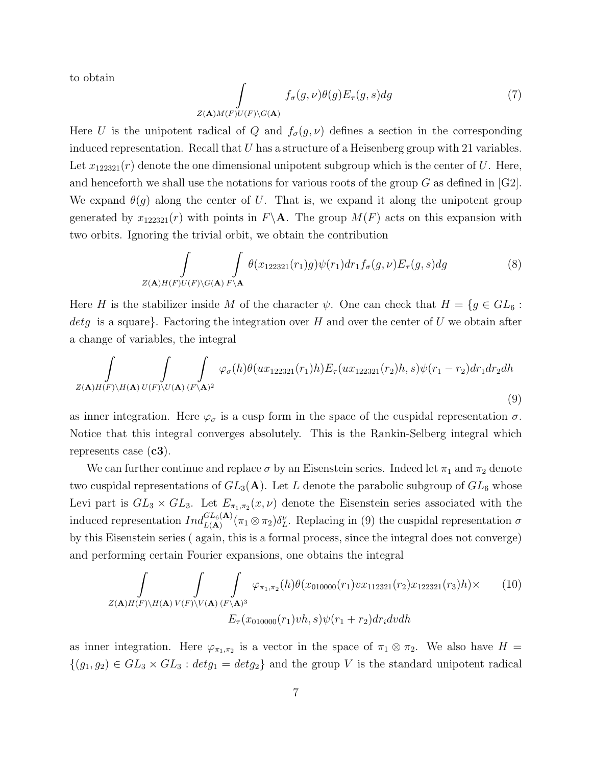to obtain

$$
\int_{Z(\mathbf{A})M(F)U(F)\backslash G(\mathbf{A})} f_{\sigma}(g,\nu)\theta(g)E_{\tau}(g,s)dg
$$
\n(7)

Here U is the unipotent radical of Q and  $f_{\sigma}(g, \nu)$  defines a section in the corresponding induced representation. Recall that  $U$  has a structure of a Heisenberg group with 21 variables. Let  $x_{122321}(r)$  denote the one dimensional unipotent subgroup which is the center of U. Here, and henceforth we shall use the notations for various roots of the group  $G$  as defined in [G2]. We expand  $\theta(g)$  along the center of U. That is, we expand it along the unipotent group generated by  $x_{122321}(r)$  with points in  $F\backslash A$ . The group  $M(F)$  acts on this expansion with two orbits. Ignoring the trivial orbit, we obtain the contribution

$$
\int_{Z(\mathbf{A})H(F)U(F)\backslash G(\mathbf{A})} \int_{F\backslash \mathbf{A}} \theta(x_{122321}(r_1)g)\psi(r_1)dr_1f_{\sigma}(g,\nu)E_{\tau}(g,s)dg
$$
\n(8)

Here H is the stabilizer inside M of the character  $\psi$ . One can check that  $H = \{g \in GL_6 :$ detg is a square. Factoring the integration over H and over the center of U we obtain after a change of variables, the integral

$$
\int_{Z(\mathbf{A})H(F)\backslash H(\mathbf{A})} \int_{U(F)\backslash U(\mathbf{A})} \int_{(F\backslash \mathbf{A})^2} \varphi_{\sigma}(h) \theta(ux_{122321}(r_1)h) E_{\tau}(ux_{122321}(r_2)h, s) \psi(r_1 - r_2) dr_1 dr_2 dh
$$
\n(9)

as inner integration. Here  $\varphi_{\sigma}$  is a cusp form in the space of the cuspidal representation  $\sigma$ . Notice that this integral converges absolutely. This is the Rankin-Selberg integral which represents case  $(c3)$ .

We can further continue and replace  $\sigma$  by an Eisenstein series. Indeed let  $\pi_1$  and  $\pi_2$  denote two cuspidal representations of  $GL_3(A)$ . Let L denote the parabolic subgroup of  $GL_6$  whose Levi part is  $GL_3 \times GL_3$ . Let  $E_{\pi_1,\pi_2}(x,\nu)$  denote the Eisenstein series associated with the induced representation  $Ind_{L(\mathbf{A})}^{GL_6(\mathbf{A})}(\pi_1 \otimes \pi_2) \delta_L^{\nu}$ . Replacing in (9) the cuspidal representation  $\sigma$ by this Eisenstein series ( again, this is a formal process, since the integral does not converge) and performing certain Fourier expansions, one obtains the integral

$$
\int\limits_{Z(\mathbf{A})H(F)\backslash H(\mathbf{A})} \int\limits_{V(F)\backslash V(\mathbf{A})} \int\limits_{(F\backslash \mathbf{A})^3} \varphi_{\pi_1,\pi_2}(h) \theta(x_{010000}(r_1) v x_{112321}(r_2) x_{122321}(r_3) h) \times \qquad (10)
$$
  

$$
E_{\tau}(x_{010000}(r_1) v h, s) \psi(r_1 + r_2) dr_i dv dh
$$

as inner integration. Here  $\varphi_{\pi_1,\pi_2}$  is a vector in the space of  $\pi_1 \otimes \pi_2$ . We also have  $H =$  $\{(g_1, g_2) \in GL_3 \times GL_3 : detg_1 = detg_2\}$  and the group V is the standard unipotent radical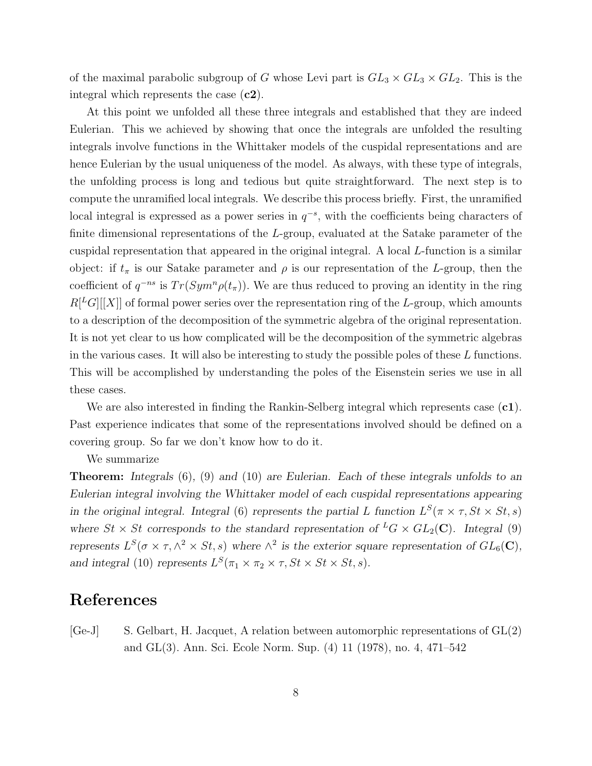of the maximal parabolic subgroup of G whose Levi part is  $GL_3 \times GL_3 \times GL_2$ . This is the integral which represents the case  $(c2)$ .

At this point we unfolded all these three integrals and established that they are indeed Eulerian. This we achieved by showing that once the integrals are unfolded the resulting integrals involve functions in the Whittaker models of the cuspidal representations and are hence Eulerian by the usual uniqueness of the model. As always, with these type of integrals, the unfolding process is long and tedious but quite straightforward. The next step is to compute the unramified local integrals. We describe this process briefly. First, the unramified local integral is expressed as a power series in  $q^{-s}$ , with the coefficients being characters of finite dimensional representations of the L-group, evaluated at the Satake parameter of the cuspidal representation that appeared in the original integral. A local L-function is a similar object: if  $t_{\pi}$  is our Satake parameter and  $\rho$  is our representation of the L-group, then the coefficient of  $q^{-ns}$  is  $Tr(Sym^n\rho(t_\pi))$ . We are thus reduced to proving an identity in the ring  $R^{[L]}[X]]$  of formal power series over the representation ring of the L-group, which amounts to a description of the decomposition of the symmetric algebra of the original representation. It is not yet clear to us how complicated will be the decomposition of the symmetric algebras in the various cases. It will also be interesting to study the possible poles of these  $L$  functions. This will be accomplished by understanding the poles of the Eisenstein series we use in all these cases.

We are also interested in finding the Rankin-Selberg integral which represents case  $(c1)$ . Past experience indicates that some of the representations involved should be defined on a covering group. So far we don't know how to do it.

We summarize

Theorem: Integrals (6), (9) and (10) are Eulerian. Each of these integrals unfolds to an Eulerian integral involving the Whittaker model of each cuspidal representations appearing in the original integral. Integral (6) represents the partial L function  $L^S(\pi \times \tau, St \times St, s)$ where  $St \times St$  corresponds to the standard representation of  $^L G \times GL_2(\mathbb{C})$ . Integral (9) represents  $L^S(\sigma \times \tau, \wedge^2 \times St, s)$  where  $\wedge^2$  is the exterior square representation of  $GL_6(\mathbb{C}),$ and integral (10) represents  $L^S(\pi_1 \times \pi_2 \times \tau, St \times St \times St, s)$ .

# References

 $[Ge-J]$  S. Gelbart, H. Jacquet, A relation between automorphic representations of  $GL(2)$ and GL(3). Ann. Sci. Ecole Norm. Sup. (4) 11 (1978), no. 4, 471–542